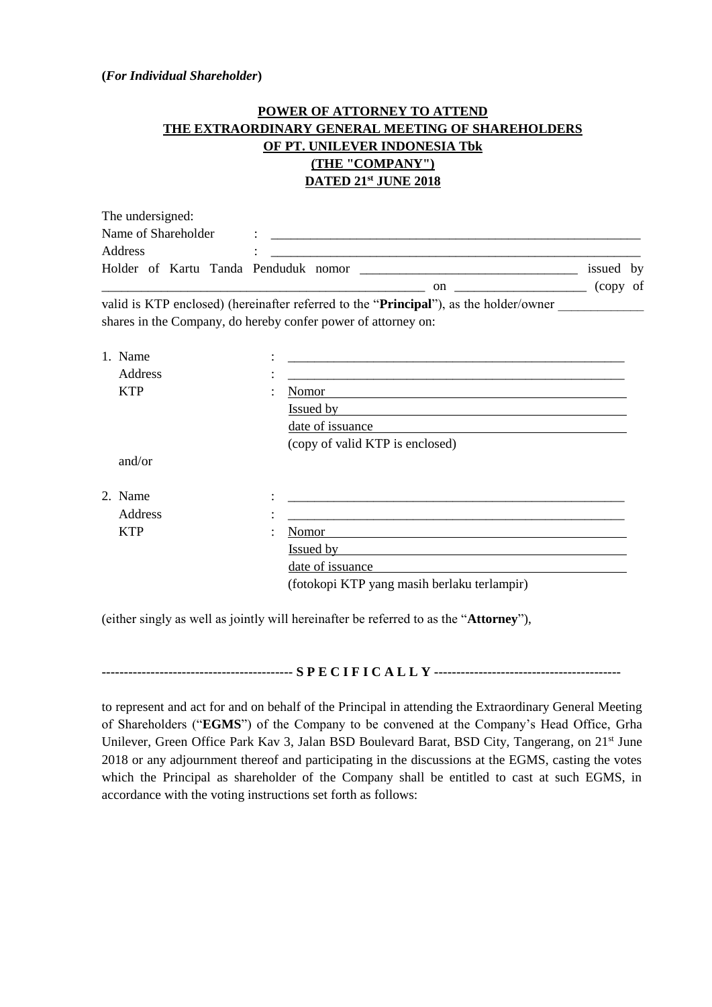## **(***For Individual Shareholder***)**

## **POWER OF ATTORNEY TO ATTEND THE EXTRAORDINARY GENERAL MEETING OF SHAREHOLDERS OF PT. UNILEVER INDONESIA Tbk (THE "COMPANY") DATED 21st JUNE 2018**

| The undersigned:                     |    |                |
|--------------------------------------|----|----------------|
| Name of Shareholder                  |    |                |
| Address                              |    |                |
| Holder of Kartu Tanda Penduduk nomor |    | issued by      |
|                                      | on | - of<br>(copy) |

valid is KTP enclosed) (hereinafter referred to the "**Principal**"), as the holder/owner shares in the Company, do hereby confer power of attorney on:

| 1. Name    | ٠<br>$\bullet$                              |  |  |
|------------|---------------------------------------------|--|--|
| Address    | ٠<br>$\bullet$                              |  |  |
| <b>KTP</b> | Nomor<br>٠                                  |  |  |
|            | <b>Issued by</b>                            |  |  |
|            | date of issuance                            |  |  |
|            | (copy of valid KTP is enclosed)             |  |  |
| and/or     |                                             |  |  |
| 2. Name    | ٠                                           |  |  |
| Address    | ٠<br>$\bullet$                              |  |  |
| <b>KTP</b> | Nomor<br>٠                                  |  |  |
|            | Issued by                                   |  |  |
|            | date of issuance                            |  |  |
|            | (fotokopi KTP yang masih berlaku terlampir) |  |  |

(either singly as well as jointly will hereinafter be referred to as the "**Attorney**"),

**------------------------------------------- S P E C I F I C A L L Y ------------------------------------------**

to represent and act for and on behalf of the Principal in attending the Extraordinary General Meeting of Shareholders ("**EGMS**") of the Company to be convened at the Company's Head Office, Grha Unilever, Green Office Park Kav 3, Jalan BSD Boulevard Barat, BSD City, Tangerang, on 21<sup>st</sup> June 2018 or any adjournment thereof and participating in the discussions at the EGMS, casting the votes which the Principal as shareholder of the Company shall be entitled to cast at such EGMS, in accordance with the voting instructions set forth as follows: